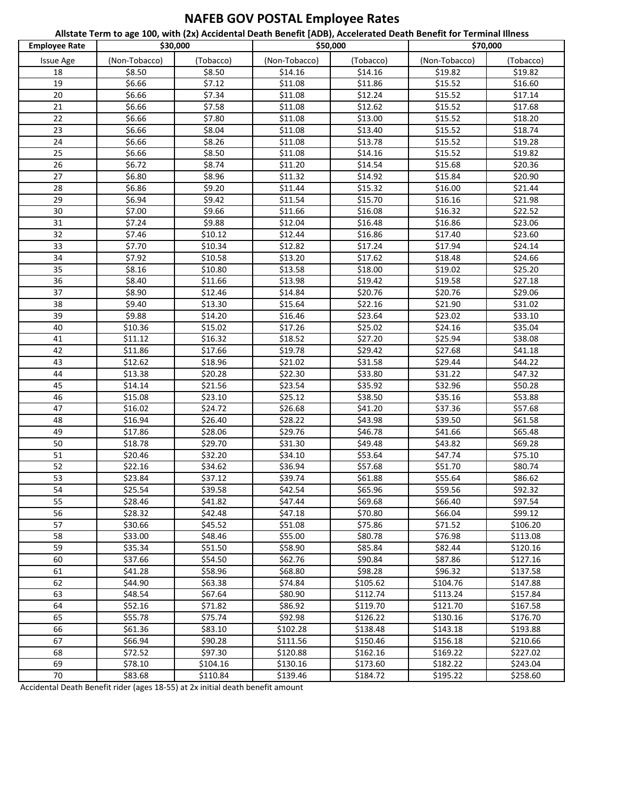## **NAFEB GOV POSTAL Employee Rates**

**Allstate Term to age 100, with (2x) Accidental Death Benefit [ADB), Accelerated Death Benefit for Terminal Illness**

| <b>Employee Rate</b> | \$30,000      |           | \$50,000      |           | \$70,000      |           |
|----------------------|---------------|-----------|---------------|-----------|---------------|-----------|
| <b>Issue Age</b>     | (Non-Tobacco) | (Tobacco) | (Non-Tobacco) | (Tobacco) | (Non-Tobacco) | (Tobacco) |
| 18                   | \$8.50        | \$8.50    | \$14.16       | \$14.16   | \$19.82       | \$19.82   |
| 19                   | \$6.66        | \$7.12    | \$11.08       | \$11.86   | \$15.52       | \$16.60   |
| 20                   | \$6.66        | \$7.34    | \$11.08       | \$12.24   | \$15.52       | \$17.14   |
| 21                   | \$6.66        | \$7.58    | \$11.08       | \$12.62   | \$15.52       | \$17.68   |
| 22                   | \$6.66        | \$7.80    | \$11.08       | \$13.00   | \$15.52       | \$18.20   |
| 23                   | \$6.66        | \$8.04    | \$11.08       | \$13.40   | \$15.52       | \$18.74   |
| 24                   | \$6.66        | \$8.26    | \$11.08       | \$13.78   | \$15.52       | \$19.28   |
| 25                   | \$6.66        | \$8.50    | \$11.08       | \$14.16   | \$15.52       | \$19.82   |
| 26                   | \$6.72        | \$8.74    | \$11.20       | \$14.54   | \$15.68       | \$20.36   |
| $\overline{27}$      | \$6.80        | \$8.96    | \$11.32       | \$14.92   | \$15.84       | \$20.90   |
| 28                   | \$6.86        | \$9.20    | \$11.44       | \$15.32   | \$16.00       | \$21.44   |
| 29                   | \$6.94        | \$9.42    | \$11.54       | \$15.70   | \$16.16       | \$21.98   |
| 30                   | \$7.00        | \$9.66    | \$11.66       | \$16.08   | \$16.32       | \$22.52   |
| 31                   | \$7.24        | \$9.88    | \$12.04       | \$16.48   | \$16.86       | \$23.06   |
| 32                   | \$7.46        | \$10.12   | \$12.44       | \$16.86   | \$17.40       | \$23.60   |
| 33                   | \$7.70        | \$10.34   | \$12.82       | \$17.24   | \$17.94       | \$24.14   |
| 34                   | \$7.92        | \$10.58   | \$13.20       | \$17.62   | \$18.48       | \$24.66   |
| 35                   | \$8.16        | \$10.80   | \$13.58       | \$18.00   | \$19.02       | \$25.20   |
| 36                   | \$8.40        | \$11.66   | \$13.98       | \$19.42   | \$19.58       | \$27.18   |
| 37                   | \$8.90        | \$12.46   | \$14.84       | \$20.76   | \$20.76       | \$29.06   |
| 38                   | \$9.40        | \$13.30   | \$15.64       | \$22.16   | \$21.90       | \$31.02   |
| 39                   | \$9.88        | \$14.20   | \$16.46       | \$23.64   | \$23.02       | \$33.10   |
| 40                   | \$10.36       | \$15.02   | \$17.26       | \$25.02   | \$24.16       | \$35.04   |
| 41                   | \$11.12       | \$16.32   | \$18.52       | \$27.20   | \$25.94       | \$38.08   |
| 42                   | \$11.86       | \$17.66   | \$19.78       | \$29.42   | \$27.68       | \$41.18   |
| 43                   | \$12.62       | \$18.96   | \$21.02       | \$31.58   | \$29.44       | \$44.22   |
| 44                   | \$13.38       | \$20.28   | \$22.30       | \$33.80   | \$31.22       | \$47.32   |
| 45                   | \$14.14       | \$21.56   | \$23.54       | \$35.92   | \$32.96       | \$50.28   |
| 46                   | \$15.08       | \$23.10   | \$25.12       | \$38.50   | \$35.16       | \$53.88   |
| 47                   | \$16.02       | \$24.72   | \$26.68       | \$41.20   | \$37.36       | \$57.68   |
| 48                   | \$16.94       | \$26.40   | \$28.22       | \$43.98   | \$39.50       | \$61.58   |
| 49                   | \$17.86       | \$28.06   | \$29.76       | \$46.78   | \$41.66       | \$65.48   |
| 50                   | \$18.78       | \$29.70   | \$31.30       | \$49.48   | \$43.82       | \$69.28   |
| 51                   | \$20.46       | \$32.20   | \$34.10       | \$53.64   | \$47.74       | \$75.10   |
| 52                   | \$22.16       | \$34.62   | \$36.94       | \$57.68   | \$51.70       | \$80.74   |
| 53                   | \$23.84       | \$37.12   | \$39.74       | \$61.88   | \$55.64       | \$86.62   |
| $\overline{54}$      | \$25.54       | \$39.58   | \$42.54       | \$65.96   | \$59.56       | \$92.32   |
| 55                   | \$28.46       | \$41.82   | \$47.44       | \$69.68   | \$66.40       | \$97.54   |
| 56                   | \$28.32       | \$42.48   | \$47.18       | \$70.80   | \$66.04       | \$99.12   |
| 57                   | \$30.66       | \$45.52   | \$51.08       | \$75.86   | \$71.52       | \$106.20  |
| 58                   | \$33.00       | \$48.46   | \$55.00       | \$80.78   | \$76.98       | \$113.08  |
| 59                   | \$35.34       | \$51.50   | \$58.90       | \$85.84   | \$82.44       | \$120.16  |
| 60                   | \$37.66       | \$54.50   | \$62.76       | \$90.84   | \$87.86       | \$127.16  |
| 61                   | \$41.28       | \$58.96   | \$68.80       | \$98.28   | \$96.32       | \$137.58  |
| 62                   | \$44.90       | \$63.38   | \$74.84       | \$105.62  | \$104.76      | \$147.88  |
| 63                   | \$48.54       | \$67.64   | \$80.90       | \$112.74  | \$113.24      | \$157.84  |
| 64                   | \$52.16       | \$71.82   | \$86.92       | \$119.70  | \$121.70      | \$167.58  |
| 65                   | \$55.78       | \$75.74   | \$92.98       | \$126.22  | \$130.16      | \$176.70  |
| 66                   | \$61.36       | \$83.10   | \$102.28      | \$138.48  | \$143.18      | \$193.88  |
| 67                   | \$66.94       | \$90.28   | \$111.56      | \$150.46  | \$156.18      | \$210.66  |
| 68                   | \$72.52       | \$97.30   | \$120.88      | \$162.16  | \$169.22      | \$227.02  |
| 69                   | \$78.10       | \$104.16  | \$130.16      | \$173.60  | \$182.22      | \$243.04  |
| 70                   | \$83.68       | \$110.84  | \$139.46      | \$184.72  | \$195.22      | \$258.60  |

Accidental Death Benefit rider (ages 18-55) at 2x initial death benefit amount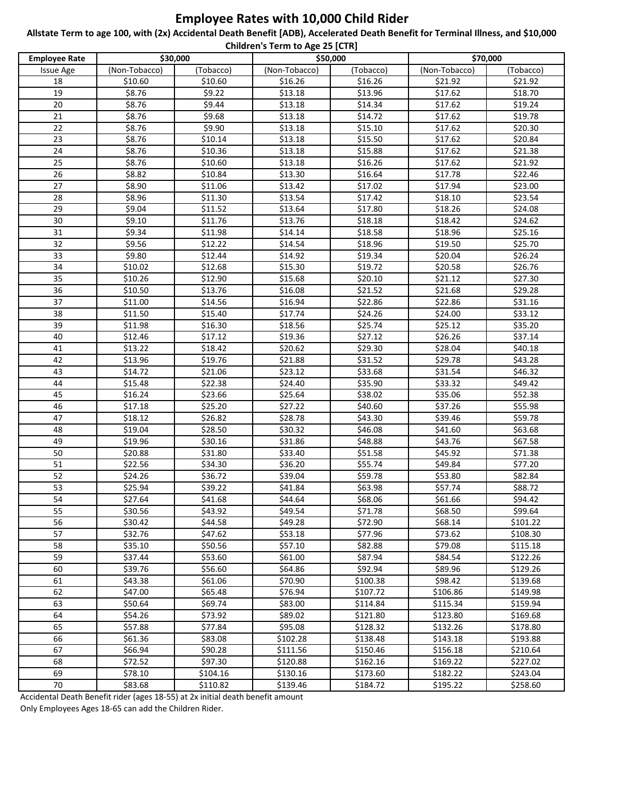## **Employee Rates with 10,000 Child Rider**

**Allstate Term to age 100, with (2x) Accidental Death Benefit [ADB), Accelerated Death Benefit for Terminal Illness, and \$10,000 Children's Term to Age 25 [CTR]**

| Children's Term to Age 25 [CTR] |               |                    |                      |                      |               |           |  |
|---------------------------------|---------------|--------------------|----------------------|----------------------|---------------|-----------|--|
| <b>Employee Rate</b>            | \$30,000      |                    | \$50,000             |                      | \$70,000      |           |  |
| <b>Issue Age</b>                | (Non-Tobacco) | (Tobacco)          | (Non-Tobacco)        | (Tobacco)            | (Non-Tobacco) | (Tobacco) |  |
| 18                              | \$10.60       | \$10.60            | \$16.26              | \$16.26              | \$21.92       | \$21.92   |  |
| 19                              | \$8.76        | \$9.22             | \$13.18              | \$13.96              | \$17.62       | \$18.70   |  |
| 20                              | \$8.76        | \$9.44             | \$13.18              | \$14.34              | \$17.62       | \$19.24   |  |
| 21                              | \$8.76        | \$9.68             | \$13.18              | \$14.72              | \$17.62       | \$19.78   |  |
| 22                              | \$8.76        | \$9.90             | \$13.18              | \$15.10              | \$17.62       | \$20.30   |  |
| 23                              | \$8.76        | \$10.14            | \$13.18              | \$15.50              | \$17.62       | \$20.84   |  |
| 24                              | \$8.76        | \$10.36            | \$13.18              | \$15.88              | \$17.62       | \$21.38   |  |
| 25                              | \$8.76        | \$10.60            | \$13.18              | \$16.26              | \$17.62       | \$21.92   |  |
| 26                              | \$8.82        | \$10.84            | \$13.30              | \$16.64              | \$17.78       | \$22.46   |  |
| 27                              | \$8.90        | \$11.06            | \$13.42              | \$17.02              | \$17.94       | \$23.00   |  |
| 28                              | \$8.96        | \$11.30            | \$13.54              | \$17.42              | \$18.10       | \$23.54   |  |
| 29                              | \$9.04        | \$11.52            | \$13.64              | \$17.80              | \$18.26       | \$24.08   |  |
| 30                              | \$9.10        | \$11.76            | \$13.76              | \$18.18              | \$18.42       | \$24.62   |  |
| $\overline{31}$                 | \$9.34        | \$11.98            | \$14.14              | \$18.58              | \$18.96       | \$25.16   |  |
| 32                              | \$9.56        | \$12.22            | \$14.54              | \$18.96              | \$19.50       | \$25.70   |  |
| 33                              | \$9.80        | \$12.44            | \$14.92              | \$19.34              | \$20.04       | \$26.24   |  |
| 34                              | \$10.02       | \$12.68            | \$15.30              | \$19.72              | \$20.58       | \$26.76   |  |
| 35                              | \$10.26       | \$12.90            | \$15.68              | \$20.10              | \$21.12       | \$27.30   |  |
| 36                              | \$10.50       | \$13.76            | \$16.08              | \$21.52              | \$21.68       | \$29.28   |  |
| 37                              | \$11.00       | \$14.56            | \$16.94              | \$22.86              | \$22.86       | \$31.16   |  |
| 38                              | \$11.50       | \$15.40            | \$17.74              | \$24.26              | \$24.00       | \$33.12   |  |
| 39                              | \$11.98       | \$16.30            | \$18.56              | \$25.74              | \$25.12       | \$35.20   |  |
| 40                              | \$12.46       | \$17.12            | \$19.36              | \$27.12              | \$26.26       | \$37.14   |  |
| 41                              | \$13.22       | \$18.42            | \$20.62              | \$29.30              | \$28.04       | \$40.18   |  |
| 42                              | \$13.96       | \$19.76            | \$21.88              | \$31.52              | \$29.78       | \$43.28   |  |
| 43                              | \$14.72       | \$21.06            | \$23.12              | \$33.68              | \$31.54       | \$46.32   |  |
| 44                              | \$15.48       | \$22.38            | \$24.40              | \$35.90              | \$33.32       | \$49.42   |  |
| 45                              | \$16.24       | \$23.66            | \$25.64              | \$38.02              | \$35.06       | \$52.38   |  |
| 46                              | \$17.18       | \$25.20            | \$27.22              | \$40.60              | \$37.26       | \$55.98   |  |
| 47                              | \$18.12       | \$26.82            | \$28.78              | \$43.30              | \$39.46       | \$59.78   |  |
| 48                              | \$19.04       | \$28.50            | \$30.32              | \$46.08              | \$41.60       | \$63.68   |  |
| 49                              | \$19.96       | \$30.16            | \$31.86              | \$48.88              | \$43.76       | \$67.58   |  |
| 50                              | \$20.88       | \$31.80            | \$33.40              | \$51.58              | \$45.92       | \$71.38   |  |
| 51                              | \$22.56       | \$34.30            | \$36.20              | \$55.74              | \$49.84       | \$77.20   |  |
| 52                              | \$24.26       | \$36.72            | \$39.04              | \$59.78              | \$53.80       | \$82.84   |  |
| 53                              | \$25.94       | \$39.22            | \$41.84              | \$63.98              | \$57.74       | \$88.72   |  |
| 54                              | \$27.64       | \$41.68            | \$44.64              | \$68.06              | \$61.66       | \$94.42   |  |
| 55                              | \$30.56       | \$43.92            | \$49.54              | \$71.78              | \$68.50       | \$99.64   |  |
| 56                              | \$30.42       | \$44.58            | \$49.28              | \$72.90              | \$68.14       | \$101.22  |  |
| 57                              | \$32.76       | \$47.62            | \$53.18              | \$77.96              | \$73.62       | \$108.30  |  |
| 58                              | \$35.10       | \$50.56            | \$57.10              | \$82.88              | \$79.08       | \$115.18  |  |
| 59                              | \$37.44       | \$53.60            | \$61.00              | \$87.94              | \$84.54       | \$122.26  |  |
| 60                              | \$39.76       | \$56.60            | \$64.86              | \$92.94              | \$89.96       | \$129.26  |  |
| 61                              | \$43.38       | \$61.06            | \$70.90              | \$100.38             | \$98.42       | \$139.68  |  |
| 62                              | \$47.00       | \$65.48            | \$76.94              | \$107.72             | \$106.86      | \$149.98  |  |
| 63                              | \$50.64       | \$69.74            | \$83.00              | \$114.84             | \$115.34      | \$159.94  |  |
| 64                              | \$54.26       | \$73.92            | \$89.02              | \$121.80             | \$123.80      | \$169.68  |  |
| 65                              | \$57.88       | \$77.84            | \$95.08              | \$128.32             | \$132.26      | \$178.80  |  |
| 66                              |               |                    |                      |                      | \$143.18      |           |  |
|                                 | \$61.36       | \$83.08            | \$102.28             | \$138.48             |               | \$193.88  |  |
| 67<br>68                        | \$66.94       | \$90.28<br>\$97.30 | \$111.56<br>\$120.88 | \$150.46<br>\$162.16 | \$156.18      | \$210.64  |  |
|                                 | \$72.52       |                    |                      |                      | \$169.22      | \$227.02  |  |
| 69                              | \$78.10       | \$104.16           | \$130.16             | \$173.60             | \$182.22      | \$243.04  |  |
| 70                              | \$83.68       | \$110.82           | \$139.46             | \$184.72             | \$195.22      | \$258.60  |  |

Accidental Death Benefit rider (ages 18-55) at 2x initial death benefit amount Only Employees Ages 18-65 can add the Children Rider.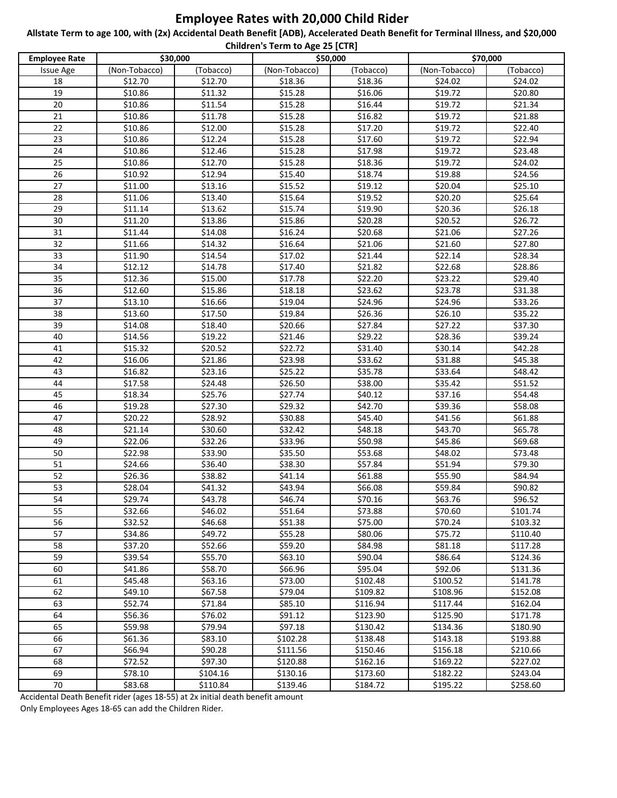## **Employee Rates with 20,000 Child Rider**

**Allstate Term to age 100, with (2x) Accidental Death Benefit [ADB), Accelerated Death Benefit for Terminal Illness, and \$20,000 Children's Term to Age 25 [CTR]**

| <b>Employee Rate</b> | Children's Term to Age 25 [CTK]<br>\$30,000<br>\$50,000 |           |               |           | \$70,000      |           |  |
|----------------------|---------------------------------------------------------|-----------|---------------|-----------|---------------|-----------|--|
| <b>Issue Age</b>     | (Non-Tobacco)                                           | (Tobacco) | (Non-Tobacco) | (Tobacco) | (Non-Tobacco) | (Tobacco) |  |
| 18                   | \$12.70                                                 | \$12.70   | \$18.36       | \$18.36   | \$24.02       | \$24.02   |  |
| 19                   | \$10.86                                                 | \$11.32   | \$15.28       | \$16.06   | \$19.72       | \$20.80   |  |
| 20                   | \$10.86                                                 | \$11.54   | \$15.28       | \$16.44   | \$19.72       | \$21.34   |  |
| 21                   | \$10.86                                                 | \$11.78   | \$15.28       | \$16.82   | \$19.72       | \$21.88   |  |
| 22                   | \$10.86                                                 | \$12.00   | \$15.28       | \$17.20   | \$19.72       | \$22.40   |  |
| 23                   | \$10.86                                                 | \$12.24   | \$15.28       | \$17.60   | \$19.72       | \$22.94   |  |
| 24                   | \$10.86                                                 | \$12.46   | \$15.28       | \$17.98   | \$19.72       | \$23.48   |  |
| 25                   | \$10.86                                                 | \$12.70   | \$15.28       | \$18.36   | \$19.72       | \$24.02   |  |
| 26                   | \$10.92                                                 | \$12.94   | \$15.40       | \$18.74   | \$19.88       | \$24.56   |  |
| 27                   | \$11.00                                                 | \$13.16   | \$15.52       | \$19.12   | \$20.04       | \$25.10   |  |
| 28                   | \$11.06                                                 | \$13.40   | \$15.64       | \$19.52   | \$20.20       | \$25.64   |  |
| 29                   | \$11.14                                                 | \$13.62   | \$15.74       | \$19.90   | \$20.36       | \$26.18   |  |
| 30                   | \$11.20                                                 | \$13.86   | \$15.86       | \$20.28   | \$20.52       | \$26.72   |  |
| 31                   | \$11.44                                                 | \$14.08   | \$16.24       | \$20.68   | \$21.06       | \$27.26   |  |
| 32                   | \$11.66                                                 | \$14.32   | \$16.64       | \$21.06   | \$21.60       | \$27.80   |  |
| 33                   | \$11.90                                                 | \$14.54   | \$17.02       | \$21.44   | \$22.14       | \$28.34   |  |
| 34                   | \$12.12                                                 | \$14.78   | \$17.40       | \$21.82   | \$22.68       | \$28.86   |  |
| 35                   | \$12.36                                                 | \$15.00   | \$17.78       | \$22.20   | \$23.22       | \$29.40   |  |
| 36                   | \$12.60                                                 | \$15.86   | \$18.18       | \$23.62   | \$23.78       | \$31.38   |  |
| 37                   | \$13.10                                                 | \$16.66   | \$19.04       | \$24.96   | \$24.96       | \$33.26   |  |
| 38                   | \$13.60                                                 | \$17.50   | \$19.84       | \$26.36   | \$26.10       | \$35.22   |  |
| 39                   | \$14.08                                                 | \$18.40   | \$20.66       | \$27.84   | \$27.22       | \$37.30   |  |
| 40                   | \$14.56                                                 | \$19.22   | \$21.46       | \$29.22   | \$28.36       | \$39.24   |  |
| 41                   | \$15.32                                                 | \$20.52   | \$22.72       | \$31.40   | \$30.14       | \$42.28   |  |
| 42                   | \$16.06                                                 | \$21.86   | \$23.98       | \$33.62   | \$31.88       | \$45.38   |  |
| 43                   | \$16.82                                                 | \$23.16   | \$25.22       | \$35.78   | \$33.64       | \$48.42   |  |
| 44                   | \$17.58                                                 | \$24.48   | \$26.50       | \$38.00   | \$35.42       | \$51.52   |  |
| 45                   | \$18.34                                                 | \$25.76   | \$27.74       | \$40.12   | \$37.16       | \$54.48   |  |
| 46                   | \$19.28                                                 | \$27.30   | \$29.32       | \$42.70   | \$39.36       | \$58.08   |  |
| 47                   | \$20.22                                                 | \$28.92   | \$30.88       | \$45.40   | \$41.56       | \$61.88   |  |
| 48                   | \$21.14                                                 | \$30.60   | \$32.42       | \$48.18   | \$43.70       | \$65.78   |  |
| 49                   | \$22.06                                                 | \$32.26   | \$33.96       | \$50.98   | \$45.86       | \$69.68   |  |
| 50                   | \$22.98                                                 | \$33.90   | \$35.50       | \$53.68   | \$48.02       | \$73.48   |  |
| 51                   | \$24.66                                                 | \$36.40   | \$38.30       | \$57.84   | \$51.94       | \$79.30   |  |
| 52                   | \$26.36                                                 | \$38.82   | \$41.14       | \$61.88   | \$55.90       | \$84.94   |  |
| 53                   | \$28.04                                                 | \$41.32   | \$43.94       | \$66.08   | \$59.84       | \$90.82   |  |
| $\overline{54}$      | \$29.74                                                 | \$43.78   | \$46.74       | \$70.16   | \$63.76       | \$96.52   |  |
| 55                   | \$32.66                                                 | \$46.02   | \$51.64       | \$73.88   | \$70.60       | \$101.74  |  |
| 56                   | \$32.52                                                 | \$46.68   | \$51.38       | \$75.00   | \$70.24       | \$103.32  |  |
| 57                   | \$34.86                                                 | \$49.72   | \$55.28       | \$80.06   | \$75.72       | \$110.40  |  |
| 58                   | \$37.20                                                 | \$52.66   | \$59.20       | \$84.98   | \$81.18       | \$117.28  |  |
| 59                   | \$39.54                                                 | \$55.70   | \$63.10       | \$90.04   | \$86.64       | \$124.36  |  |
| 60                   | \$41.86                                                 | \$58.70   | \$66.96       | \$95.04   | \$92.06       | \$131.36  |  |
| 61                   | \$45.48                                                 | \$63.16   | \$73.00       | \$102.48  | \$100.52      | \$141.78  |  |
| 62                   | \$49.10                                                 | \$67.58   | \$79.04       | \$109.82  | \$108.96      | \$152.08  |  |
| 63                   | \$52.74                                                 | \$71.84   | \$85.10       | \$116.94  | \$117.44      | \$162.04  |  |
| 64                   | \$56.36                                                 | \$76.02   | \$91.12       | \$123.90  | \$125.90      | \$171.78  |  |
| 65                   | \$59.98                                                 | \$79.94   | \$97.18       | \$130.42  | \$134.36      | \$180.90  |  |
| 66                   | \$61.36                                                 | \$83.10   | \$102.28      | \$138.48  | \$143.18      | \$193.88  |  |
| 67                   | \$66.94                                                 | \$90.28   | \$111.56      | \$150.46  | \$156.18      | \$210.66  |  |
| 68                   | \$72.52                                                 | \$97.30   | \$120.88      | \$162.16  | \$169.22      | \$227.02  |  |
| 69                   | \$78.10                                                 | \$104.16  | \$130.16      | \$173.60  | \$182.22      | \$243.04  |  |
| 70                   | \$83.68                                                 | \$110.84  | \$139.46      | \$184.72  | \$195.22      | \$258.60  |  |

Accidental Death Benefit rider (ages 18-55) at 2x initial death benefit amount Only Employees Ages 18-65 can add the Children Rider.